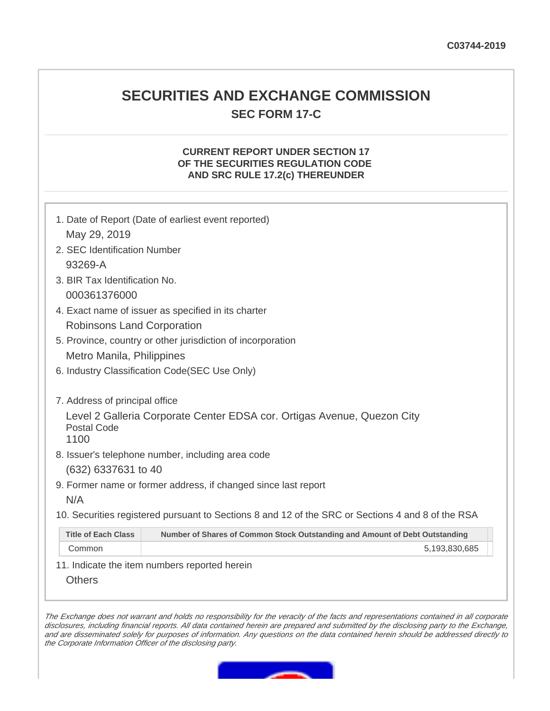## **SECURITIES AND EXCHANGE COMMISSION SEC FORM 17-C**

## **CURRENT REPORT UNDER SECTION 17 OF THE SECURITIES REGULATION CODE AND SRC RULE 17.2(c) THEREUNDER**

| 1. Date of Report (Date of earliest event reported)                                                       |  |
|-----------------------------------------------------------------------------------------------------------|--|
| May 29, 2019                                                                                              |  |
| 2. SEC Identification Number                                                                              |  |
| 93269-A                                                                                                   |  |
| 3. BIR Tax Identification No.                                                                             |  |
| 000361376000                                                                                              |  |
| 4. Exact name of issuer as specified in its charter                                                       |  |
| Robinsons Land Corporation                                                                                |  |
| 5. Province, country or other jurisdiction of incorporation                                               |  |
| Metro Manila, Philippines                                                                                 |  |
| 6. Industry Classification Code (SEC Use Only)                                                            |  |
|                                                                                                           |  |
| 7. Address of principal office                                                                            |  |
| Level 2 Galleria Corporate Center EDSA cor. Ortigas Avenue, Quezon City<br>Postal Code<br>1100            |  |
| 8. Issuer's telephone number, including area code                                                         |  |
| (632) 6337631 to 40                                                                                       |  |
| 9. Former name or former address, if changed since last report                                            |  |
| N/A                                                                                                       |  |
| 10. Securities registered pursuant to Sections 8 and 12 of the SRC or Sections 4 and 8 of the RSA         |  |
| <b>Title of Each Class</b><br>Number of Shares of Common Stock Outstanding and Amount of Debt Outstanding |  |
| Common<br>5,193,830,685                                                                                   |  |

11. Indicate the item numbers reported herein

**Others** 

The Exchange does not warrant and holds no responsibility for the veracity of the facts and representations contained in all corporate disclosures, including financial reports. All data contained herein are prepared and submitted by the disclosing party to the Exchange, and are disseminated solely for purposes of information. Any questions on the data contained herein should be addressed directly to the Corporate Information Officer of the disclosing party.

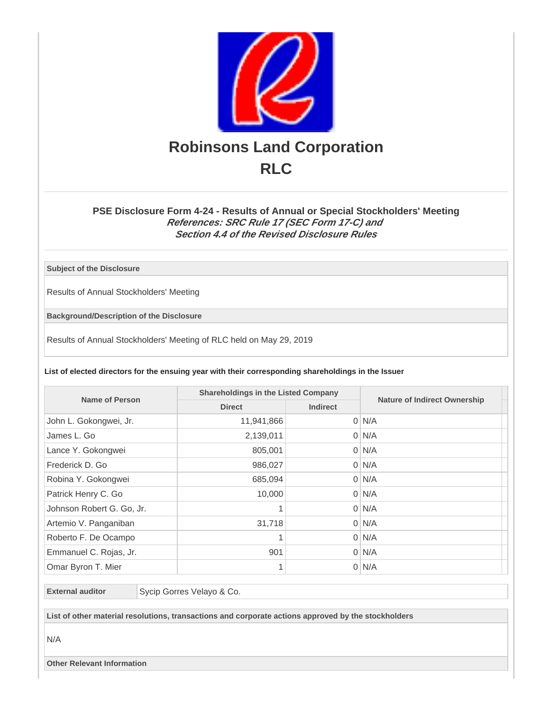

## **PSE Disclosure Form 4-24 - Results of Annual or Special Stockholders' Meeting References: SRC Rule 17 (SEC Form 17-C) and Section 4.4 of the Revised Disclosure Rules**

**Subject of the Disclosure**

Results of Annual Stockholders' Meeting

**Background/Description of the Disclosure**

Results of Annual Stockholders' Meeting of RLC held on May 29, 2019

**List of elected directors for the ensuing year with their corresponding shareholdings in the Issuer**

| <b>Name of Person</b>     | <b>Shareholdings in the Listed Company</b> |                 |                                     |
|---------------------------|--------------------------------------------|-----------------|-------------------------------------|
|                           | <b>Direct</b>                              | <b>Indirect</b> | <b>Nature of Indirect Ownership</b> |
| John L. Gokongwei, Jr.    | 11,941,866                                 |                 | $0 \mid N/A$                        |
| James L. Go               | 2,139,011                                  |                 | $0 \mid N/A$                        |
| Lance Y. Gokongwei        | 805,001                                    |                 | $0 \mid N/A$                        |
| Frederick D. Go           | 986,027                                    |                 | $0 \mid N/A$                        |
| Robina Y. Gokongwei       | 685,094                                    |                 | $0 \mid N/A$                        |
| Patrick Henry C. Go       | 10,000                                     |                 | $0 \mid N/A$                        |
| Johnson Robert G. Go, Jr. |                                            |                 | $0 \mid N/A$                        |
| Artemio V. Panganiban     | 31,718                                     |                 | $0 \mid N/A$                        |
| Roberto F. De Ocampo      | 1                                          |                 | $0 \mid N/A$                        |
| Emmanuel C. Rojas, Jr.    | 901                                        |                 | $0 \mid N/A$                        |
| Omar Byron T. Mier        |                                            |                 | $0 \mid N/A$                        |

**External auditor** Sycip Gorres Velayo & Co.

**List of other material resolutions, transactions and corporate actions approved by the stockholders**

N/A

**Other Relevant Information**